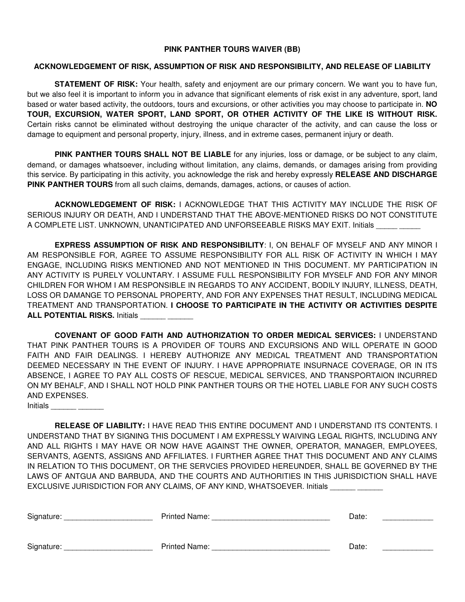### **PINK PANTHER TOURS WAIVER (BB)**

### **ACKNOWLEDGEMENT OF RISK, ASSUMPTION OF RISK AND RESPONSIBILITY, AND RELEASE OF LIABILITY**

**STATEMENT OF RISK:** Your health, safety and enjoyment are our primary concern. We want you to have fun, but we also feel it is important to inform you in advance that significant elements of risk exist in any adventure, sport, land based or water based activity, the outdoors, tours and excursions, or other activities you may choose to participate in. **NO TOUR, EXCURSION, WATER SPORT, LAND SPORT, OR OTHER ACTIVITY OF THE LIKE IS WITHOUT RISK.**  Certain risks cannot be eliminated without destroying the unique character of the activity, and can cause the loss or damage to equipment and personal property, injury, illness, and in extreme cases, permanent injury or death.

**PINK PANTHER TOURS SHALL NOT BE LIABLE** for any injuries, loss or damage, or be subject to any claim, demand, or damages whatsoever, including without limitation, any claims, demands, or damages arising from providing this service. By participating in this activity, you acknowledge the risk and hereby expressly **RELEASE AND DISCHARGE PINK PANTHER TOURS** from all such claims, demands, damages, actions, or causes of action.

**ACKNOWLEDGEMENT OF RISK:** I ACKNOWLEDGE THAT THIS ACTIVITY MAY INCLUDE THE RISK OF SERIOUS INJURY OR DEATH, AND I UNDERSTAND THAT THE ABOVE-MENTIONED RISKS DO NOT CONSTITUTE A COMPLETE LIST. UNKNOWN, UNANTICIPATED AND UNFORSEEABLE RISKS MAY EXIT. Initials

**EXPRESS ASSUMPTION OF RISK AND RESPONSIBILITY**: I, ON BEHALF OF MYSELF AND ANY MINOR I AM RESPONSIBLE FOR, AGREE TO ASSUME RESPONSIBILITY FOR ALL RISK OF ACTIVITY IN WHICH I MAY ENGAGE, INCLUDING RISKS MENTIONED AND NOT MENTIONED IN THIS DOCUMENT. MY PARTICIPATION IN ANY ACTIVITY IS PURELY VOLUNTARY. I ASSUME FULL RESPONSIBILITY FOR MYSELF AND FOR ANY MINOR CHILDREN FOR WHOM I AM RESPONSIBLE IN REGARDS TO ANY ACCIDENT, BODILY INJURY, ILLNESS, DEATH, LOSS OR DAMANGE TO PERSONAL PROPERTY, AND FOR ANY EXPENSES THAT RESULT, INCLUDING MEDICAL TREATMENT AND TRANSPORTATION. **I CHOOSE TO PARTICIPATE IN THE ACTIVITY OR ACTIVITIES DESPITE ALL POTENTIAL RISKS. Initials** 

**COVENANT OF GOOD FAITH AND AUTHORIZATION TO ORDER MEDICAL SERVICES:** I UNDERSTAND THAT PINK PANTHER TOURS IS A PROVIDER OF TOURS AND EXCURSIONS AND WILL OPERATE IN GOOD FAITH AND FAIR DEALINGS. I HEREBY AUTHORIZE ANY MEDICAL TREATMENT AND TRANSPORTATION DEEMED NECESSARY IN THE EVENT OF INJURY. I HAVE APPROPRIATE INSURNACE COVERAGE, OR IN ITS ABSENCE, I AGREE TO PAY ALL COSTS OF RESCUE, MEDICAL SERVICES, AND TRANSPORTAION INCURRED ON MY BEHALF, AND I SHALL NOT HOLD PINK PANTHER TOURS OR THE HOTEL LIABLE FOR ANY SUCH COSTS AND EXPENSES.

Initials \_\_\_\_\_\_ \_\_\_\_\_\_

**RELEASE OF LIABILITY:** I HAVE READ THIS ENTIRE DOCUMENT AND I UNDERSTAND ITS CONTENTS. I UNDERSTAND THAT BY SIGNING THIS DOCUMENT I AM EXPRESSLY WAIVING LEGAL RIGHTS, INCLUDING ANY AND ALL RIGHTS I MAY HAVE OR NOW HAVE AGAINST THE OWNER, OPERATOR, MANAGER, EMPLOYEES, SERVANTS, AGENTS, ASSIGNS AND AFFILIATES. I FURTHER AGREE THAT THIS DOCUMENT AND ANY CLAIMS IN RELATION TO THIS DOCUMENT, OR THE SERVCIES PROVIDED HEREUNDER, SHALL BE GOVERNED BY THE LAWS OF ANTGUA AND BARBUDA, AND THE COURTS AND AUTHORITIES IN THIS JURISDICTION SHALL HAVE EXCLUSIVE JURISDICTION FOR ANY CLAIMS, OF ANY KIND, WHATSOEVER. Initials

| Signature: | <b>Printed Name:</b> | Date: |
|------------|----------------------|-------|
| Signature: | <b>Printed Name:</b> | Date: |